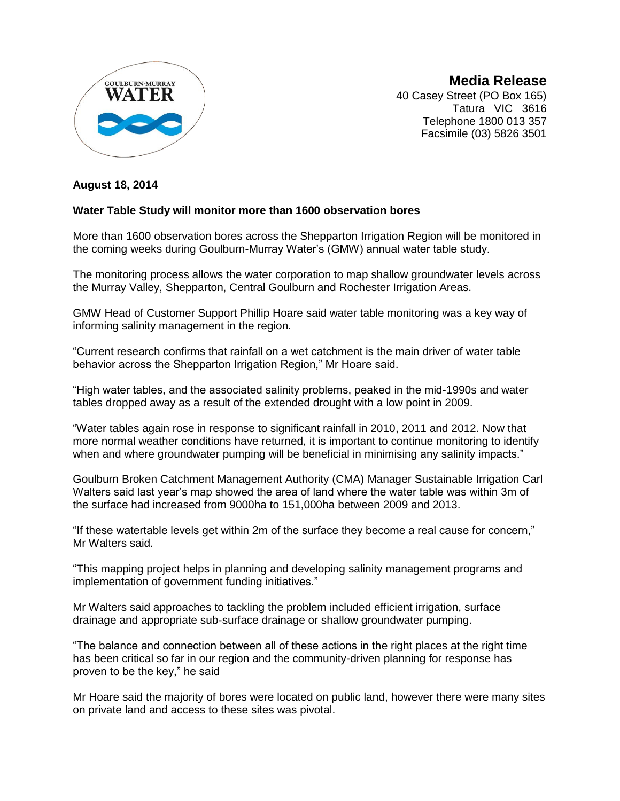

**Media Release** 40 Casey Street (PO Box 165) Tatura VIC 3616 Telephone 1800 013 357 Facsimile (03) 5826 3501

## **August 18, 2014**

## **Water Table Study will monitor more than 1600 observation bores**

More than 1600 observation bores across the Shepparton Irrigation Region will be monitored in the coming weeks during Goulburn-Murray Water's (GMW) annual water table study.

The monitoring process allows the water corporation to map shallow groundwater levels across the Murray Valley, Shepparton, Central Goulburn and Rochester Irrigation Areas.

GMW Head of Customer Support Phillip Hoare said water table monitoring was a key way of informing salinity management in the region.

"Current research confirms that rainfall on a wet catchment is the main driver of water table behavior across the Shepparton Irrigation Region," Mr Hoare said.

"High water tables, and the associated salinity problems, peaked in the mid-1990s and water tables dropped away as a result of the extended drought with a low point in 2009.

"Water tables again rose in response to significant rainfall in 2010, 2011 and 2012. Now that more normal weather conditions have returned, it is important to continue monitoring to identify when and where groundwater pumping will be beneficial in minimising any salinity impacts."

Goulburn Broken Catchment Management Authority (CMA) Manager Sustainable Irrigation Carl Walters said last year's map showed the area of land where the water table was within 3m of the surface had increased from 9000ha to 151,000ha between 2009 and 2013.

"If these watertable levels get within 2m of the surface they become a real cause for concern," Mr Walters said.

"This mapping project helps in planning and developing salinity management programs and implementation of government funding initiatives."

Mr Walters said approaches to tackling the problem included efficient irrigation, surface drainage and appropriate sub-surface drainage or shallow groundwater pumping.

"The balance and connection between all of these actions in the right places at the right time has been critical so far in our region and the community-driven planning for response has proven to be the key," he said

Mr Hoare said the majority of bores were located on public land, however there were many sites on private land and access to these sites was pivotal.